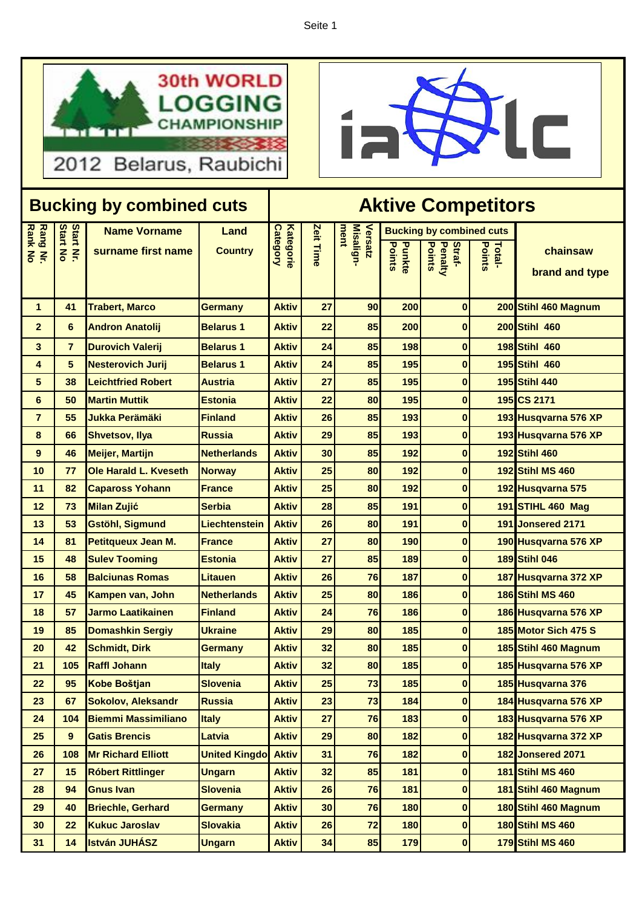Seite 1





| <b>Bucking by combined cuts</b> |                       |                                           |                        | <b>Aktive Competitors</b>           |           |                              |                  |                                                                       |                  |                            |
|---------------------------------|-----------------------|-------------------------------------------|------------------------|-------------------------------------|-----------|------------------------------|------------------|-----------------------------------------------------------------------|------------------|----------------------------|
| <b>Rang Nr.<br/>Rank No</b>     | Start Nr.<br>Start No | <b>Name Vorname</b><br>surname first name | Land<br><b>Country</b> | <b>Category</b><br><b>Kategorie</b> | Zeit Time | ment<br>Misalign-<br>Versatz | Points<br>Punkte | <b>Bucking by combined cuts</b><br>Points<br><b>Penalty</b><br>Straf- | Points<br>Total- | chainsaw<br>brand and type |
| $\mathbf 1$                     | 41                    | <b>Trabert, Marco</b>                     | <b>Germany</b>         | <b>Aktiv</b>                        | 27        | 90                           | 200              | $\bf{0}$                                                              |                  | 200 Stihl 460 Magnum       |
| $\mathbf{2}$                    | 6                     | <b>Andron Anatolij</b>                    | <b>Belarus 1</b>       | <b>Aktiv</b>                        | 22        | 85                           | 200              | $\bf{0}$                                                              |                  | 200 Stihl 460              |
| 3                               | $\overline{7}$        | <b>Durovich Valerij</b>                   | <b>Belarus 1</b>       | <b>Aktiv</b>                        | 24        | 85                           | 198              | $\bf{0}$                                                              |                  | 198 Stihl 460              |
| 4                               | 5                     | <b>Nesterovich Jurij</b>                  | <b>Belarus 1</b>       | <b>Aktiv</b>                        | 24        | 85                           | 195              | $\bf{0}$                                                              |                  | 195 Stihl 460              |
| 5                               | 38                    | <b>Leichtfried Robert</b>                 | <b>Austria</b>         | <b>Aktiv</b>                        | 27        | 85                           | 195              | $\bf{0}$                                                              |                  | <b>195 Stihl 440</b>       |
| 6                               | 50                    | <b>Martin Muttik</b>                      | <b>Estonia</b>         | <b>Aktiv</b>                        | 22        | 80                           | 195              | $\bf{0}$                                                              |                  | 195 CS 2171                |
| $\overline{7}$                  | 55                    | <b>Jukka Perämäki</b>                     | <b>Finland</b>         | <b>Aktiv</b>                        | 26        | 85                           | 193              | $\bf{0}$                                                              |                  | 193 Husqvarna 576 XP       |
| 8                               | 66                    | <b>Shvetsov, Ilya</b>                     | <b>Russia</b>          | <b>Aktiv</b>                        | 29        | 85                           | 193              | $\bf{0}$                                                              |                  | 193 Husqvarna 576 XP       |
| 9                               | 46                    | <b>Meijer, Martijn</b>                    | <b>Netherlands</b>     | <b>Aktiv</b>                        | 30        | 85                           | 192              | $\bf{0}$                                                              |                  | 192 Stihl 460              |
| 10                              | 77                    | Ole Harald L. Kveseth                     | <b>Norway</b>          | <b>Aktiv</b>                        | 25        | 80                           | 192              | $\bf{0}$                                                              |                  | <b>192 Stihl MS 460</b>    |
| 11                              | 82                    | <b>Capaross Yohann</b>                    | <b>France</b>          | <b>Aktiv</b>                        | 25        | 80                           | 192              | $\bf{0}$                                                              |                  | 192 Husqvarna 575          |
| 12                              | 73                    | <b>Milan Zujić</b>                        | <b>Serbia</b>          | <b>Aktiv</b>                        | 28        | 85                           | 191              | $\bf{0}$                                                              |                  | <b>191 STIHL 460 Mag</b>   |
| 13                              | 53                    | <b>Gstöhl, Sigmund</b>                    | <b>Liechtenstein</b>   | <b>Aktiv</b>                        | 26        | 80                           | 191              | $\bf{0}$                                                              |                  | 191 Jonsered 2171          |
| 14                              | 81                    | Petitqueux Jean M.                        | <b>France</b>          | <b>Aktiv</b>                        | 27        | 80                           | 190              | $\bf{0}$                                                              |                  | 190 Husqvarna 576 XP       |
| 15                              | 48                    | <b>Sulev Tooming</b>                      | <b>Estonia</b>         | <b>Aktiv</b>                        | 27        | 85                           | 189              | $\bf{0}$                                                              |                  | <b>189 Stihl 046</b>       |
| 16                              | 58                    | <b>Balciunas Romas</b>                    | <b>Litauen</b>         | <b>Aktiv</b>                        | 26        | 76                           | 187              | $\bf{0}$                                                              |                  | 187 Husqvarna 372 XP       |
| 17                              | 45                    | Kampen van, John                          | <b>Netherlands</b>     | <b>Aktiv</b>                        | 25        | 80                           | 186              | $\bf{0}$                                                              |                  | <b>186 Stihl MS 460</b>    |
| 18                              | 57                    | <b>Jarmo Laatikainen</b>                  | <b>Finland</b>         | <b>Aktiv</b>                        | 24        | 76                           | 186              | $\bf{0}$                                                              |                  | 186 Husqvarna 576 XP       |
| 19                              | 85                    | <b>Domashkin Sergiy</b>                   | <b>Ukraine</b>         | <b>Aktiv</b>                        | 29        | 80                           | 185              | $\bf{0}$                                                              |                  | 185 Motor Sich 475 S       |
| 20                              | 42                    | <b>Schmidt, Dirk</b>                      | <b>Germany</b>         | <b>Aktiv</b>                        | 32        | 80                           | 185              | $\bf{0}$                                                              |                  | 185 Stihl 460 Magnum       |
| 21                              | 105                   | <b>Raffl Johann</b>                       | <b>Italy</b>           | <b>Aktiv</b>                        | 32        | 80                           | 185              | $\overline{0}$                                                        |                  | 185 Husqvarna 576 XP       |
| 22                              | 95                    | <b>Kobe Boštjan</b>                       | <b>Slovenia</b>        | <b>Aktiv</b>                        | 25        | 73                           | 185              | $\bf{0}$                                                              |                  | 185 Husqvarna 376          |
| 23                              | 67                    | <b>Sokolov, Aleksandr</b>                 | <b>Russia</b>          | <b>Aktiv</b>                        | 23        | 73                           | 184              | $\bf{0}$                                                              |                  | 184 Husqvarna 576 XP       |
| 24                              | 104                   | <b>Biemmi Massimiliano</b>                | <b>Italy</b>           | <b>Aktiv</b>                        | 27        | 76                           | 183              | $\bf{0}$                                                              |                  | 183 Husqvarna 576 XP       |
| 25                              | 9                     | <b>Gatis Brencis</b>                      | <b>Latvia</b>          | <b>Aktiv</b>                        | 29        | 80                           | 182              | 0                                                                     |                  | 182 Husqvarna 372 XP       |
| 26                              | 108                   | <b>Mr Richard Elliott</b>                 | <b>United Kingdo</b>   | <b>Aktiv</b>                        | 31        | 76                           | 182              | $\mathbf 0$                                                           |                  | 182 Jonsered 2071          |
| 27                              | 15                    | <b>Róbert Rittlinger</b>                  | <b>Ungarn</b>          | <b>Aktiv</b>                        | 32        | 85                           | 181              | $\mathbf 0$                                                           |                  | <b>181 Stihl MS 460</b>    |
| 28                              | 94                    | <b>Gnus Ivan</b>                          | <b>Slovenia</b>        | <b>Aktiv</b>                        | 26        | 76                           | 181              | $\bf{0}$                                                              |                  | 181 Stihl 460 Magnum       |
| 29                              | 40                    | <b>Briechle, Gerhard</b>                  | <b>Germany</b>         | <b>Aktiv</b>                        | 30        | 76                           | 180              | $\bf{0}$                                                              |                  | 180 Stihl 460 Magnum       |
| 30 <sub>o</sub>                 | 22                    | <b>Kukuc Jaroslav</b>                     | <b>Slovakia</b>        | <b>Aktiv</b>                        | 26        | 72                           | 180              | $\bf{0}$                                                              |                  | <b>180 Stihl MS 460</b>    |
| 31                              | 14                    | <b>István JUHÁSZ</b>                      | <b>Ungarn</b>          | <b>Aktiv</b>                        | 34        | 85                           | 179              | $\bf{0}$                                                              |                  | <b>179 Stihl MS 460</b>    |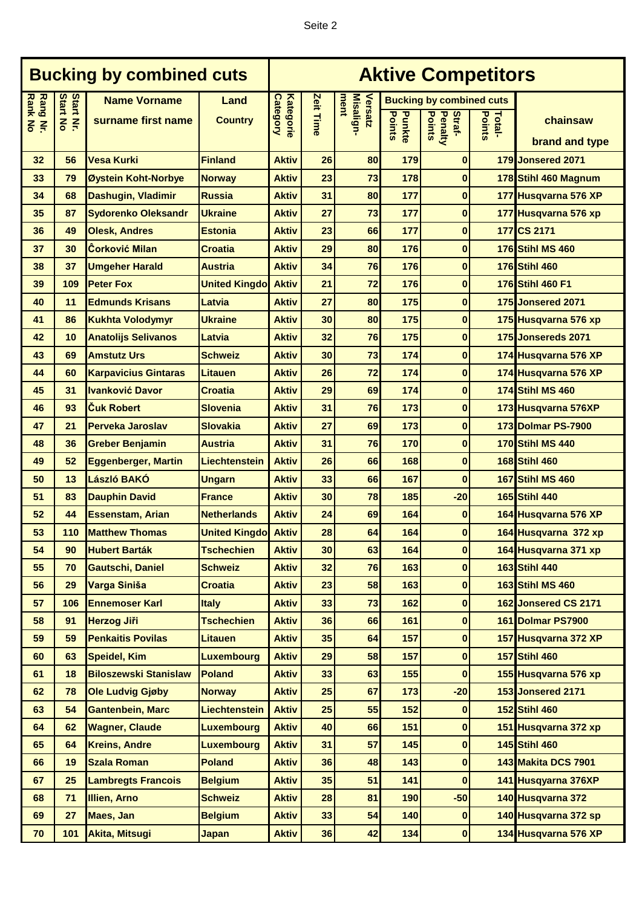| <b>Bucking by combined cuts</b> |                                           |                                           |                            | <b>Aktive Competitors</b>    |           |                              |                  |                                                                       |                         |                         |
|---------------------------------|-------------------------------------------|-------------------------------------------|----------------------------|------------------------------|-----------|------------------------------|------------------|-----------------------------------------------------------------------|-------------------------|-------------------------|
| <b>Rank No</b><br>Rang Nr.      | <b>Start No</b><br><b>Start</b><br>$\leq$ | <b>Name Vorname</b><br>surname first name | Land<br><b>Country</b>     | Kategorie<br><b>Category</b> | Zeit Time | Versatz<br>Misalign-<br>ment | Points<br>Punkte | <b>Bucking by combined cuts</b><br>Straf-<br><b>Points</b><br>Penalty | <b>Points</b><br>Total- | chainsaw                |
|                                 |                                           |                                           |                            |                              |           |                              |                  |                                                                       |                         | brand and type          |
| 32                              | 56                                        | <b>Vesa Kurki</b>                         | <b>Finland</b>             | <b>Aktiv</b>                 | 26        | 80                           | 179              | $\bf{0}$                                                              |                         | 179 Jonsered 2071       |
| 33                              | 79                                        | Øystein Koht-Norbye                       | <b>Norway</b>              | <b>Aktiv</b>                 | 23        | 73                           | 178              | $\bf{0}$                                                              |                         | 178 Stihl 460 Magnum    |
| 34                              | 68                                        | Dashugin, Vladimir                        | <b>Russia</b>              | <b>Aktiv</b>                 | 31        | 80                           | 177              | $\bf{0}$                                                              |                         | 177 Husqvarna 576 XP    |
| 35                              | 87                                        | <b>Sydorenko Oleksandr</b>                | <b>Ukraine</b>             | <b>Aktiv</b>                 | 27        | 73                           | 177              | $\bf{0}$                                                              |                         | 177 Husqvarna 576 xp    |
| 36                              | 49                                        | <b>Olesk, Andres</b>                      | <b>Estonia</b>             | <b>Aktiv</b>                 | 23        | 66                           | 177              | $\bf{0}$                                                              |                         | 177 CS 2171             |
| 37                              | 30                                        | <b>Corković Milan</b>                     | <b>Croatia</b>             | <b>Aktiv</b>                 | 29        | 80                           | 176              | $\bf{0}$                                                              |                         | <b>176 Stihl MS 460</b> |
| 38                              | 37                                        | <b>Umgeher Harald</b>                     | <b>Austria</b>             | <b>Aktiv</b>                 | 34        | 76                           | 176              | $\bf{0}$                                                              |                         | 176 Stihl 460           |
| 39                              | 109                                       | <b>Peter Fox</b>                          | <b>United Kingdo</b> Aktiv |                              | 21        | 72                           | 176              | $\bf{0}$                                                              |                         | 176 Stihl 460 F1        |
| 40                              | 11                                        | <b>Edmunds Krisans</b>                    | Latvia                     | <b>Aktiv</b>                 | 27        | 80                           | 175              | $\bf{0}$                                                              |                         | 175 Jonsered 2071       |
| 41                              | 86                                        | <b>Kukhta Volodymyr</b>                   | <b>Ukraine</b>             | <b>Aktiv</b>                 | 30        | 80                           | 175              | $\bf{0}$                                                              |                         | 175 Husqvarna 576 xp    |
| 42                              | 10                                        | <b>Anatolijs Selivanos</b>                | Latvia                     | <b>Aktiv</b>                 | 32        | 76                           | 175              | $\bf{0}$                                                              |                         | 175 Jonsereds 2071      |
| 43                              | 69                                        | <b>Amstutz Urs</b>                        | <b>Schweiz</b>             | <b>Aktiv</b>                 | 30        | 73                           | 174              | $\bf{0}$                                                              |                         | 174 Husqvarna 576 XP    |
| 44                              | 60                                        | <b>Karpavicius Gintaras</b>               | <b>Litauen</b>             | <b>Aktiv</b>                 | 26        | 72                           | 174              | $\bf{0}$                                                              |                         | 174 Husqvarna 576 XP    |
| 45                              | 31                                        | <b>Ivanković Davor</b>                    | <b>Croatia</b>             | <b>Aktiv</b>                 | 29        | 69                           | 174              | $\bf{0}$                                                              |                         | <b>174 Stihl MS 460</b> |
| 46                              | 93                                        | <b>Cuk Robert</b>                         | <b>Slovenia</b>            | <b>Aktiv</b>                 | 31        | 76                           | 173              | $\bf{0}$                                                              |                         | 173 Husqvarna 576XP     |
| 47                              | 21                                        | Perveka Jaroslav                          | <b>Slovakia</b>            | <b>Aktiv</b>                 | 27        | 69                           | 173              | $\bf{0}$                                                              |                         | 173 Dolmar PS-7900      |
| 48                              | 36                                        | <b>Greber Benjamin</b>                    | <b>Austria</b>             | <b>Aktiv</b>                 | 31        | 76                           | 170              | $\bf{0}$                                                              |                         | <b>170 Stihl MS 440</b> |
| 49                              | 52                                        | <b>Eggenberger, Martin</b>                | Liechtenstein              | <b>Aktiv</b>                 | 26        | 66                           | 168              | $\bf{0}$                                                              |                         | <b>168 Stihl 460</b>    |
| 50                              | 13                                        | László BAKÓ                               | <b>Ungarn</b>              | <b>Aktiv</b>                 | 33        | 66                           | 167              | $\bf{0}$                                                              |                         | 167 Stihl MS 460        |
| 51                              | 83                                        | <b>Dauphin David</b>                      | <b>France</b>              | <b>Aktiv</b>                 | 30        | 78                           | 185              | $-20$                                                                 |                         | 165 Stihl 440           |
| 52                              | 44                                        | <b>Essenstam, Arian</b>                   | <b>Netherlands</b>         | <b>Aktiv</b>                 | 24        | 69                           | 164              | $\bf{0}$                                                              |                         | 164 Husqvarna 576 XP    |
| 53                              | 110                                       | <b>Matthew Thomas</b>                     | <b>United Kingdo</b> Aktiv |                              | 28        | 64                           | 164              | $\bf{0}$                                                              |                         | 164 Husqvarna 372 xp    |
| 54                              | 90                                        | <b>Hubert Barták</b>                      | <b>Tschechien</b>          | <b>Aktiv</b>                 | 30        | 63                           | 164              | $\boldsymbol{0}$                                                      |                         | 164 Husqvarna 371 xp    |
| 55                              | 70                                        | <b>Gautschi, Daniel</b>                   | <b>Schweiz</b>             | <b>Aktiv</b>                 | 32        | 76                           | 163              | $\bf{0}$                                                              |                         | 163 Stihl 440           |
| 56                              | 29                                        | Varga Siniša                              | <b>Croatia</b>             | <b>Aktiv</b>                 | 23        | 58                           | 163              | $\bf{0}$                                                              |                         | <b>163 Stihl MS 460</b> |
| 57                              | 106                                       | <b>Ennemoser Karl</b>                     | <b>Italy</b>               | <b>Aktiv</b>                 | 33        | 73                           | 162              | $\bf{0}$                                                              |                         | 162 Jonsered CS 2171    |
| 58                              | 91                                        | <b>Herzog Jiři</b>                        | <b>Tschechien</b>          | <b>Aktiv</b>                 | 36        | 66                           | 161              | $\pmb{0}$                                                             |                         | 161 Dolmar PS7900       |
| 59                              | 59                                        | <b>Penkaitis Povilas</b>                  | <b>Litauen</b>             | <b>Aktiv</b>                 | 35        | 64                           | 157              | $\bf{0}$                                                              |                         | 157 Husqvarna 372 XP    |
| 60                              | 63                                        | <b>Speidel, Kim</b>                       | <b>Luxembourg</b>          | <b>Aktiv</b>                 | 29        | 58                           | 157              | $\bf{0}$                                                              |                         | 157 Stihl 460           |
| 61                              | 18                                        | <b>Biloszewski Stanislaw</b>              | <b>Poland</b>              | <b>Aktiv</b>                 | 33        | 63                           | 155              | $\bf{0}$                                                              |                         | 155 Husqvarna 576 xp    |
| 62                              | 78                                        | <b>Ole Ludvig Gjøby</b>                   | <b>Norway</b>              | <b>Aktiv</b>                 | 25        | 67                           | 173              | $-20$                                                                 |                         | 153 Jonsered 2171       |
| 63                              | 54                                        | <b>Gantenbein, Marc</b>                   | Liechtenstein              | <b>Aktiv</b>                 | 25        | 55                           | 152              | $\bf{0}$                                                              |                         | 152 Stihl 460           |
| 64                              | 62                                        | <b>Wagner, Claude</b>                     | <b>Luxembourg</b>          | <b>Aktiv</b>                 | 40        | 66                           | 151              | $\bf{0}$                                                              |                         | 151 Husqvarna 372 xp    |
| 65                              | 64                                        | <b>Kreins, Andre</b>                      | <b>Luxembourg</b>          | <b>Aktiv</b>                 | 31        | 57                           | 145              | $\bf{0}$                                                              |                         | 145 Stihl 460           |
| 66                              | 19                                        | <b>Szala Roman</b>                        | <b>Poland</b>              | <b>Aktiv</b>                 | 36        | 48                           | 143              | $\bf{0}$                                                              |                         | 143 Makita DCS 7901     |
| 67                              | 25                                        | <b>Lambregts Francois</b>                 | <b>Belgium</b>             | <b>Aktiv</b>                 | 35        | 51                           | 141              | $\bf{0}$                                                              |                         | 141 Husqyarna 376XP     |
| 68                              | 71                                        | <b>Illien, Arno</b>                       | <b>Schweiz</b>             | <b>Aktiv</b>                 | 28        | 81                           | 190              | $-50$                                                                 |                         | 140 Husqvarna 372       |
| 69                              | 27                                        | Maes, Jan                                 | <b>Belgium</b>             | <b>Aktiv</b>                 | 33        | 54                           | 140              | $\bf{0}$                                                              |                         | 140 Husqvarna 372 sp    |
| 70                              | 101                                       | <b>Akita, Mitsugi</b>                     | <b>Japan</b>               | <b>Aktiv</b>                 | 36        | 42                           | 134              | 0                                                                     |                         | 134 Husqvarna 576 XP    |